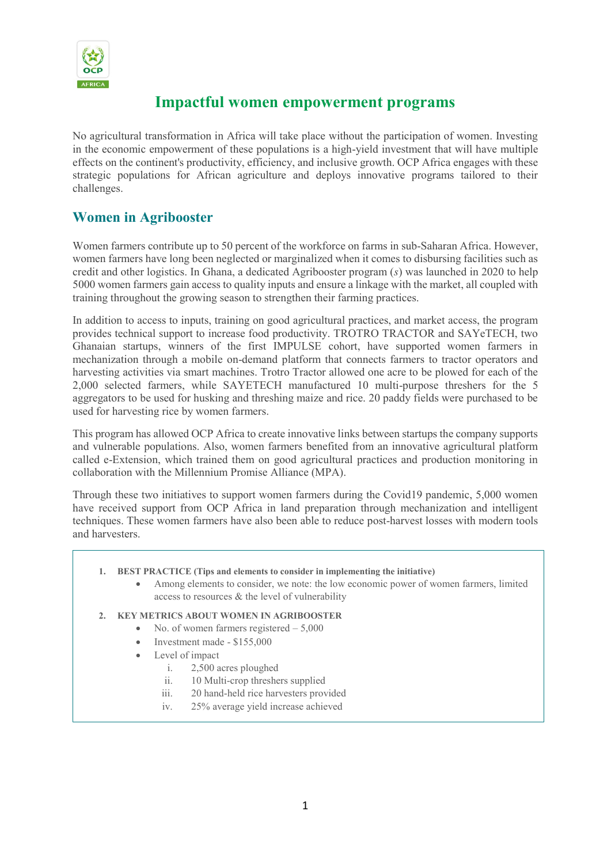

# **Impactful women empowerment programs**

No agricultural transformation in Africa will take place without the participation of women. Investing in the economic empowerment of these populations is a high-yield investment that will have multiple effects on the continent's productivity, efficiency, and inclusive growth. OCP Africa engages with these strategic populations for African agriculture and deploys innovative programs tailored to their challenges.

### **Women in Agribooster**

Women farmers contribute up to 50 percent of the workforce on farms in sub-Saharan Africa. However, women farmers have long been neglected or marginalized when it comes to disbursing facilities such as credit and other logistics. In Ghana, a dedicated Agribooster program (*s*) was launched in 2020 to help 5000 women farmers gain access to quality inputs and ensure a linkage with the market, all coupled with training throughout the growing season to strengthen their farming practices.

In addition to access to inputs, training on good agricultural practices, and market access, the program provides technical support to increase food productivity. TROTRO TRACTOR and SAYeTECH, two Ghanaian startups, winners of the first IMPULSE cohort, have supported women farmers in mechanization through a mobile on-demand platform that connects farmers to tractor operators and harvesting activities via smart machines. Trotro Tractor allowed one acre to be plowed for each of the 2,000 selected farmers, while SAYETECH manufactured 10 multi-purpose threshers for the 5 aggregators to be used for husking and threshing maize and rice. 20 paddy fields were purchased to be used for harvesting rice by women farmers.

This program has allowed OCP Africa to create innovative links between startups the company supports and vulnerable populations. Also, women farmers benefited from an innovative agricultural platform called e-Extension, which trained them on good agricultural practices and production monitoring in collaboration with the Millennium Promise Alliance (MPA).

Through these two initiatives to support women farmers during the Covid19 pandemic, 5,000 women have received support from OCP Africa in land preparation through mechanization and intelligent techniques. These women farmers have also been able to reduce post-harvest losses with modern tools and harvesters.

- **1. BEST PRACTICE (Tips and elements to consider in implementing the initiative)**
	- Among elements to consider, we note: the low economic power of women farmers, limited access to resources & the level of vulnerability

### **2. KEY METRICS ABOUT WOMEN IN AGRIBOOSTER**

- No. of women farmers registered 5,000
- Investment made \$155,000
- Level of impact
	- i. 2,500 acres ploughed
		- ii. 10 Multi-crop threshers supplied
		- iii. 20 hand-held rice harvesters provided
		- iv. 25% average yield increase achieved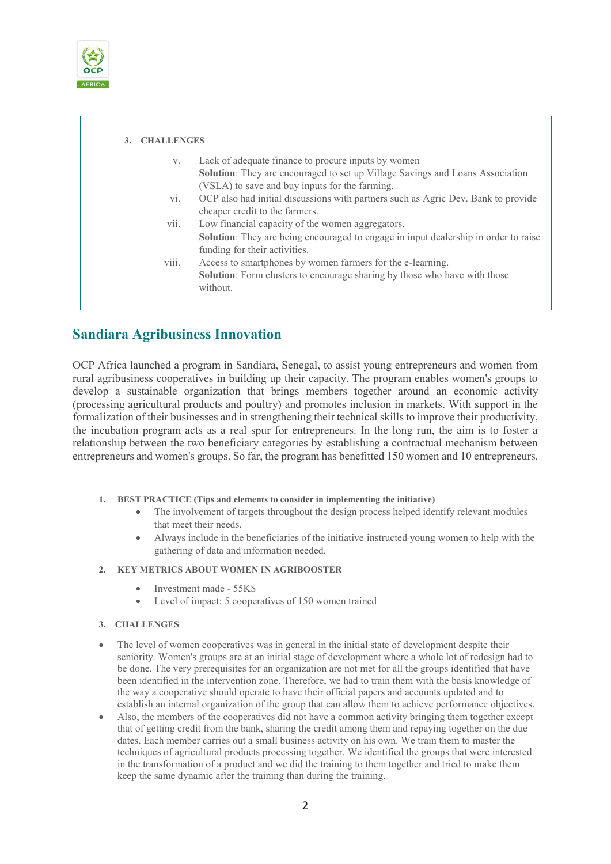

| 3. CHALLENGES     |                                                                                            |
|-------------------|--------------------------------------------------------------------------------------------|
| V.                | Lack of adequate finance to procure inputs by women                                        |
|                   | <b>Solution:</b> They are encouraged to set up Village Savings and Loans Association       |
|                   | (VSLA) to save and buy inputs for the farming.                                             |
| vi.               | OCP also had initial discussions with partners such as Agric Dev. Bank to provide          |
|                   | cheaper credit to the farmers.                                                             |
| vii.              | Low financial capacity of the women aggregators.                                           |
|                   | <b>Solution:</b> They are being encouraged to engage in input dealership in order to raise |
|                   | funding for their activities.                                                              |
| $\cdots$<br>V111. | Access to smartphones by women farmers for the e-learning.                                 |
|                   | Solution: Form clusters to encourage sharing by those who have with those                  |
|                   | without.                                                                                   |
|                   |                                                                                            |

## **Sandiara Agribusiness Innovation**

OCP Africa launched a program in Sandiara, Senegal, to assist young entrepreneurs and women from rural agribusiness cooperatives in building up their capacity. The program enables women's groups to develop a sustainable organization that brings members together around an economic activity (processing agricultural products and poultry) and promotes inclusion in markets. With support in the formalization of their businesses and in strengthening their technical skills to improve their productivity, the incubation program acts as a real spur for entrepreneurs. In the long run, the aim is to foster a relationship between the two beneficiary categories by establishing a contractual mechanism between entrepreneurs and women's groups. So far, the program has benefitted 150 women and 10 entrepreneurs.

- **1. BEST PRACTICE (Tips and elements to consider in implementing the initiative)**
	- The involvement of targets throughout the design process helped identify relevant modules that meet their needs.
	- Always include in the beneficiaries of the initiative instructed young women to help with the gathering of data and information needed.

### **2. KEY METRICS ABOUT WOMEN IN AGRIBOOSTER**

- Investment made 55K\$
- Level of impact: 5 cooperatives of 150 women trained
- **3. CHALLENGES**
- The level of women cooperatives was in general in the initial state of development despite their seniority. Women's groups are at an initial stage of development where a whole lot of redesign had to be done. The very prerequisites for an organization are not met for all the groups identified that have been identified in the intervention zone. Therefore, we had to train them with the basis knowledge of the way a cooperative should operate to have their official papers and accounts updated and to establish an internal organization of the group that can allow them to achieve performance objectives.
- Also, the members of the cooperatives did not have a common activity bringing them together except that of getting credit from the bank, sharing the credit among them and repaying together on the due dates. Each member carries out a small business activity on his own. We train them to master the techniques of agricultural products processing together. We identified the groups that were interested in the transformation of a product and we did the training to them together and tried to make them keep the same dynamic after the training than during the training.